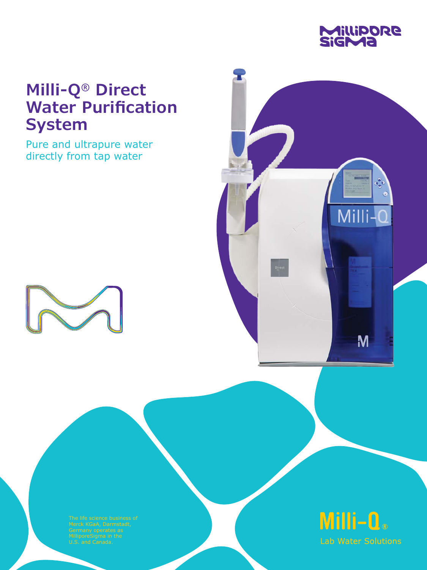

# **Milli-Q® Direct Water Purification System**

Pure and ultrapure water directly from tap water



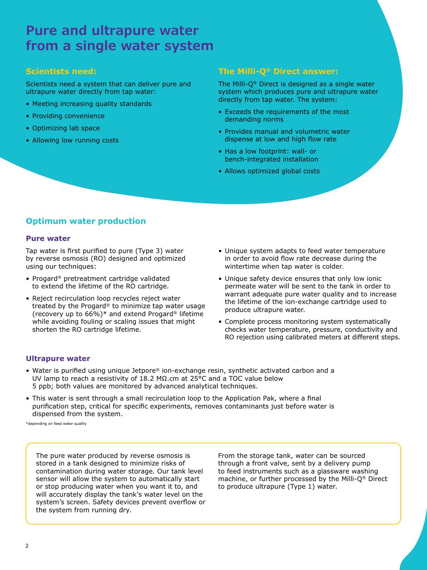# **Pure and ultrapure water from a single water system**

### **Scientists need:**

Scientists need a system that can deliver pure and ultrapure water directly from tap water:

- Meeting increasing quality standards
- Providing convenience
- Optimizing lab space
- Allowing low running costs

### **The Milli-Q® Direct answer:**

The Milli-Q® Direct is designed as a single water system which produces pure and ultrapure water directly from tap water. The system:

- Exceeds the requirements of the most demanding norms
- Provides manual and volumetric water dispense at low and high flow rate
- Has a low footprint: wall- or bench-integrated installation
- Allows optimized global costs

### **Optimum water production**

#### **Pure water**

Tap water is first purified to pure (Type 3) water by reverse osmosis (RO) designed and optimized using our techniques:

- Progard® pretreatment cartridge validated to extend the lifetime of the RO cartridge.
- Reject recirculation loop recycles reject water treated by the Progard® to minimize tap water usage (recovery up to 66%)\* and extend Progard® lifetime while avoiding fouling or scaling issues that might shorten the RO cartridge lifetime.
- Unique system adapts to feed water temperature in order to avoid flow rate decrease during the wintertime when tap water is colder.
- Unique safety device ensures that only low ionic permeate water will be sent to the tank in order to warrant adequate pure water quality and to increase the lifetime of the ion-exchange cartridge used to produce ultrapure water.
- Complete process monitoring system systematically checks water temperature, pressure, conductivity and RO rejection using calibrated meters at different steps.

#### **Ultrapure water**

- Water is purified using unique Jetpore® ion-exchange resin, synthetic activated carbon and a UV lamp to reach a resistivity of 18.2 MΩ.cm at 25°C and a TOC value below 5 ppb; both values are monitored by advanced analytical techniques.
- This water is sent through a small recirculation loop to the Application Pak, where a final purification step, critical for specific experiments, removes contaminants just before water is dispensed from the system.

\*depending on feed water quality

The pure water produced by reverse osmosis is stored in a tank designed to minimize risks of contamination during water storage. Our tank level sensor will allow the system to automatically start or stop producing water when you want it to, and will accurately display the tank's water level on the system's screen. Safety devices prevent overflow or the system from running dry.

From the storage tank, water can be sourced through a front valve, sent by a delivery pump to feed instruments such as a glassware washing machine, or further processed by the Milli-Q® Direct to produce ultrapure (Type 1) water.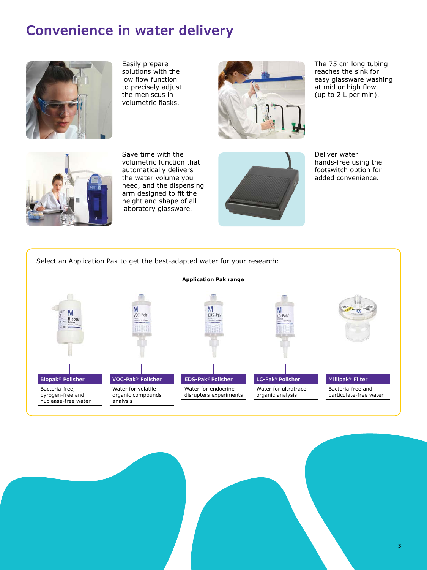# **Convenience in water delivery**



Easily prepare solutions with the low flow function to precisely adjust the meniscus in volumetric flasks.



The 75 cm long tubing reaches the sink for easy glassware washing at mid or high flow (up to 2 L per min).



Save time with the volumetric function that automatically delivers the water volume you need, and the dispensing arm designed to fit the height and shape of all laboratory glassware.



Deliver water hands-free using the footswitch option for added convenience.

### Select an Application Pak to get the best-adapted water for your research:

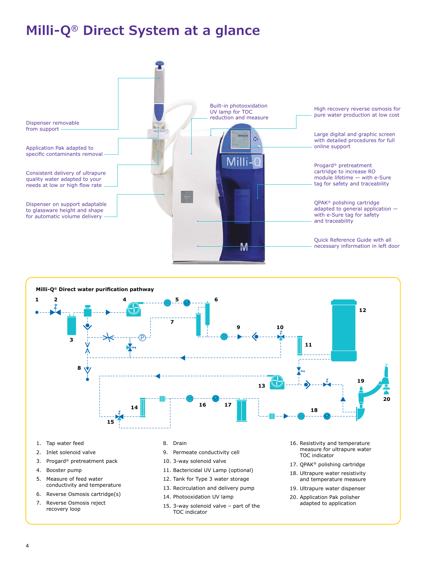# **Milli-Q® Direct System at a glance**





- 1. Tap water feed
- 2. Inlet solenoid valve
- 3. Progard® pretreatment pack
- 4. Booster pump
- 5. Measure of feed water conductivity and temperature
- 6. Reverse Osmosis cartridge(s)
- 7. Reverse Osmosis reject recovery loop

#### 8. Drain

- 9. Permeate conductivity cell
- 10. 3-way solenoid valve
- 11. Bactericidal UV Lamp (optional) 12. Tank for Type 3 water storage
- 13. Recirculation and delivery pump
- 14. Photooxidation UV lamp
- 15. 3-way solenoid valve part of the TOC indicator
- 16. Resistivity and temperature measure for ultrapure water TOC indicator
- 17. QPAK® polishing cartridge
- 18. Ultrapure water resistivity and temperature measure
- 19. Ultrapure water dispenser
- 20. Application Pak polisher adapted to application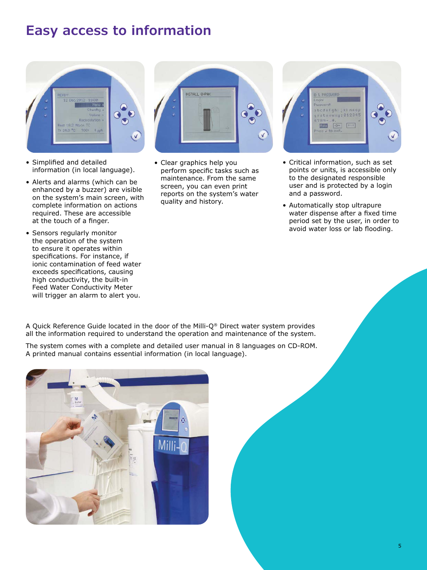# **Easy access to information**



- Simplified and detailed information (in local language).
- Alerts and alarms (which can be enhanced by a buzzer) are visible on the system's main screen, with complete information on actions required. These are accessible at the touch of a finger.
- Sensors regularly monitor the operation of the system to ensure it operates within specifications. For instance, if ionic contamination of feed water exceeds specifications, causing high conductivity, the built-in Feed Water Conductivity Meter will trigger an alarm to alert you.



• Clear graphics help you perform specific tasks such as maintenance. From the same screen, you can even print reports on the system's water quality and history.



- Critical information, such as set points or units, is accessible only to the designated responsible user and is protected by a login and a password.
- Automatically stop ultrapure water dispense after a fixed time period set by the user, in order to avoid water loss or lab flooding.

A Quick Reference Guide located in the door of the Milli-Q® Direct water system provides all the information required to understand the operation and maintenance of the system.

The system comes with a complete and detailed user manual in 8 languages on CD-ROM. A printed manual contains essential information (in local language).

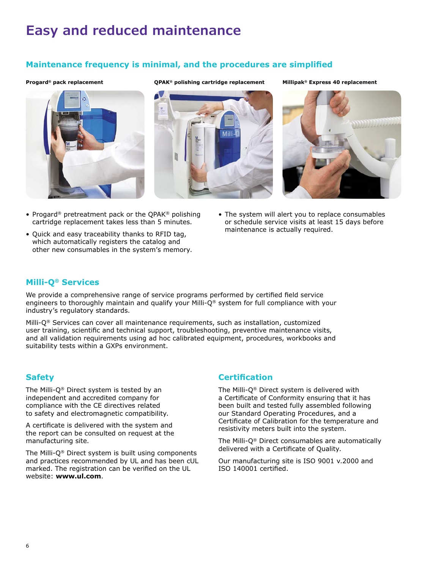# **Easy and reduced maintenance**

### **Maintenance frequency is minimal, and the procedures are simplified**



**Progard® pack replacement QPAK® polishing cartridge replacement Millipak® Express 40 replacement**



- Progard® pretreatment pack or the QPAK® polishing cartridge replacement takes less than 5 minutes.
- Quick and easy traceability thanks to RFID tag, which automatically registers the catalog and other new consumables in the system's memory.
- The system will alert you to replace consumables or schedule service visits at least 15 days before maintenance is actually required.

### **Milli-Q® Services**

We provide a comprehensive range of service programs performed by certified field service engineers to thoroughly maintain and qualify your Milli-Q® system for full compliance with your industry's regulatory standards.

Milli-Q® Services can cover all maintenance requirements, such as installation, customized user training, scientific and technical support, troubleshooting, preventive maintenance visits, and all validation requirements using ad hoc calibrated equipment, procedures, workbooks and suitability tests within a GXPs environment.

### **Safety**

The Milli-Q® Direct system is tested by an independent and accredited company for compliance with the CE directives related to safety and electromagnetic compatibility.

A certificate is delivered with the system and the report can be consulted on request at the manufacturing site.

The Milli-Q® Direct system is built using components and practices recommended by UL and has been cUL marked. The registration can be verified on the UL website: **[www.ul.com](http://www.ul.com)**.

### **Certification**

The Milli-Q® Direct system is delivered with a Certificate of Conformity ensuring that it has been built and tested fully assembled following our Standard Operating Procedures, and a Certificate of Calibration for the temperature and resistivity meters built into the system.

The Milli-Q® Direct consumables are automatically delivered with a Certificate of Quality.

Our manufacturing site is ISO 9001 v.2000 and ISO 140001 certified.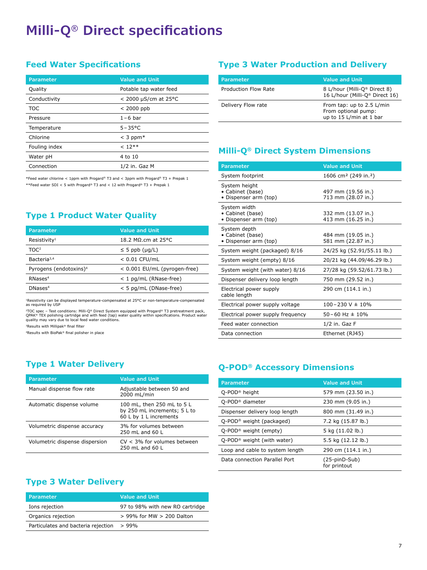# **Milli-Q® Direct specifications**

### **Feed Water Specifications**

| Parameter     | <b>Value and Unit</b>  |
|---------------|------------------------|
| Quality       | Potable tap water feed |
| Conductivity  | $<$ 2000 µS/cm at 25°C |
| TOC           | $<$ 2000 ppb           |
| Pressure      | $1-6$ bar              |
| Temperature   | $5 - 35^{\circ}$ C     |
| Chlorine      | $<$ 3 ppm $*$          |
| Fouling index | $< 12***$              |
| Water pH      | 4 to 10                |
| Connection    | $1/2$ in. Gaz M        |

\*Feed water chlorine < 1ppm with Progard® T3 and < 3ppm with Progard® T3 + Prepak 1 \*\*Feed water SDI < 5 with Progard® T3 and < 12 with Progard® T3 + Prepak 1

### **Type 1 Product Water Quality**

| Parameter                          | <b>Value and Unit</b>        |
|------------------------------------|------------------------------|
| Resistivity <sup>1</sup>           | 18.2 MΩ.cm at 25°C           |
| TOC <sup>2</sup>                   | $\leq$ 5 ppb (µq/L)          |
| Bacteria <sup>3,4</sup>            | $< 0.01$ CFU/mL              |
| Pyrogens (endotoxins) <sup>4</sup> | < 0.001 EU/mL (pyrogen-free) |
| RNases <sup>4</sup>                | < 1 pg/mL (RNase-free)       |
| DNases <sup>4</sup>                | < 5 pg/mL (DNase-free)       |

1Resistivity can be displayed temperature-compensated at 25°C or non-temperature-compensated as required by USP

-'TOC spec – Test conditions: Milli-Q® Direct System equipped with Progard® T3 pretreatment pack,<br>QPAK® TEX polishing cartridge and with feed (tap) water quality within specifications. Product water<br>quality may vary due

3Results with Millipak® final filter

4Results with BioPak® final polisher in place

### **Type 1 Water Delivery**

| Parameter                      | <b>Value and Unit</b>                                                                |
|--------------------------------|--------------------------------------------------------------------------------------|
| Manual dispense flow rate      | Adjustable between 50 and<br>2000 mL/min                                             |
| Automatic dispense volume      | 100 mL, then 250 mL to 5 L<br>by 250 mL increments; 5 L to<br>60 L by 1 L increments |
| Volumetric dispense accuracy   | 3% for volumes between<br>$250 \text{ ml}$ and $60 \text{ l}$                        |
| Volumetric dispense dispersion | $CV < 3\%$ for volumes between<br>$250 \text{ ml}$ and $60 \text{ l}$                |

### **Type 3 Water Production and Delivery**

| <b>Parameter</b>            | Value and Unit                                                              |
|-----------------------------|-----------------------------------------------------------------------------|
| <b>Production Flow Rate</b> | 8 L/hour (Milli-Q® Direct 8)<br>16 L/hour (Milli-Q® Direct 16)              |
| Delivery Flow rate          | From tap: up to 2.5 L/min<br>From optional pump:<br>up to 15 L/min at 1 bar |

### **Milli-Q® Direct System Dimensions**

| <b>Parameter</b>                                           | <b>Value and Unit</b>                        |
|------------------------------------------------------------|----------------------------------------------|
| System footprint                                           | 1606 cm <sup>2</sup> (249 in. <sup>2</sup> ) |
| System height<br>• Cabinet (base)<br>• Dispenser arm (top) | 497 mm (19.56 in.)<br>713 mm (28.07 in.)     |
| System width<br>• Cabinet (base)<br>• Dispenser arm (top)  | 332 mm (13.07 in.)<br>413 mm (16.25 in.)     |
| System depth<br>• Cabinet (base)<br>• Dispenser arm (top)  | 484 mm (19.05 in.)<br>581 mm (22.87 in.)     |
| System weight (packaged) 8/16                              | 24/25 kg (52.91/55.11 lb.)                   |
| System weight (empty) 8/16                                 | 20/21 kg (44.09/46.29 lb.)                   |
| System weight (with water) 8/16                            | 27/28 kg (59.52/61.73 lb.)                   |
| Dispenser delivery loop length                             | 750 mm (29.52 in.)                           |
| Electrical power supply<br>cable length                    | 290 cm (114.1 in.)                           |
| Electrical power supply voltage                            | $100 - 230$ V $\pm$ 10%                      |
| Electrical power supply frequency                          | $50 - 60$ Hz $\pm$ 10%                       |
| Feed water connection                                      | $1/2$ in. Gaz F                              |
| Data connection                                            | Ethernet (RJ45)                              |

### **Q-POD® Accessory Dimensions**

| <b>Parameter</b>                       | <b>Value and Unit</b>           |
|----------------------------------------|---------------------------------|
| Q-POD <sup>®</sup> height              | 579 mm (23.50 in.)              |
| Q-POD <sup>®</sup> diameter            | 230 mm (9.05 in.)               |
| Dispenser delivery loop length         | 800 mm (31.49 in.)              |
| Q-POD <sup>®</sup> weight (packaged)   | 7.2 kg (15.87 lb.)              |
| $Q$ -POD <sup>®</sup> weight (empty)   | 5 kg (11.02 lb.)                |
| Q-POD <sup>®</sup> weight (with water) | 5.5 kg (12.12 lb.)              |
| Loop and cable to system length        | 290 cm (114.1 in.)              |
| Data connection Parallel Port          | $(25-pinD-Sub)$<br>for printout |

### **Type 3 Water Delivery**

| <b>Parameter</b>                    | <b>Value and Unit</b>           |
|-------------------------------------|---------------------------------|
| Ions rejection                      | 97 to 98% with new RO cartridge |
| Organics rejection                  | > 99% for MW > 200 Dalton       |
| Particulates and bacteria rejection | >99%                            |